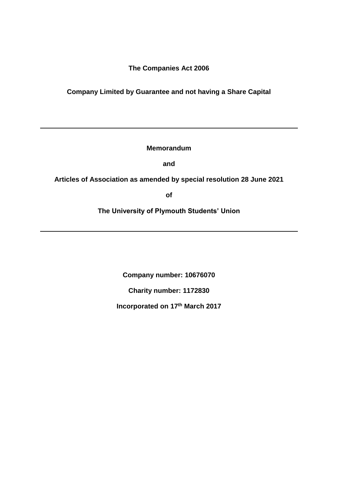# **The Companies Act 2006**

# **Company Limited by Guarantee and not having a Share Capital**

**Memorandum**

**and** 

**Articles of Association as amended by special resolution 28 June 2021**

**of**

**The University of Plymouth Students' Union**

**Company number: 10676070**

**Charity number: 1172830**

**Incorporated on 17th March 2017**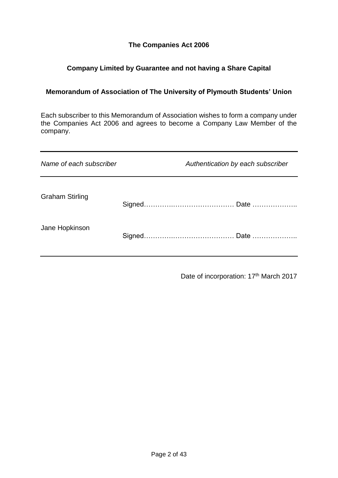# **The Companies Act 2006**

# **Company Limited by Guarantee and not having a Share Capital**

## **Memorandum of Association of The University of Plymouth Students' Union**

Each subscriber to this Memorandum of Association wishes to form a company under the Companies Act 2006 and agrees to become a Company Law Member of the company.

| Name of each subscriber | Authentication by each subscriber |
|-------------------------|-----------------------------------|
| <b>Graham Stirling</b>  |                                   |
| Jane Hopkinson          |                                   |

Date of incorporation: 17<sup>th</sup> March 2017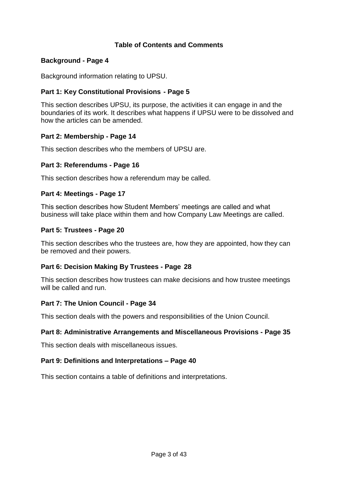# **Table of Contents and Comments**

### **Background - Page 4**

Background information relating to UPSU.

## **Part 1: Key Constitutional Provisions - Page 5**

This section describes UPSU, its purpose, the activities it can engage in and the boundaries of its work. It describes what happens if UPSU were to be dissolved and how the articles can be amended.

### **Part 2: Membership - Page 14**

This section describes who the members of UPSU are.

### **Part 3: Referendums - Page 16**

This section describes how a referendum may be called.

### **Part 4: Meetings - Page 17**

This section describes how Student Members' meetings are called and what business will take place within them and how Company Law Meetings are called.

### **Part 5: Trustees - Page 20**

This section describes who the trustees are, how they are appointed, how they can be removed and their powers.

#### **Part 6: Decision Making By Trustees - Page 28**

This section describes how trustees can make decisions and how trustee meetings will be called and run.

#### **Part 7: The Union Council - Page 34**

This section deals with the powers and responsibilities of the Union Council.

#### **Part 8: Administrative Arrangements and Miscellaneous Provisions - Page 35**

This section deals with miscellaneous issues.

#### **Part 9: Definitions and Interpretations – Page 40**

This section contains a table of definitions and interpretations.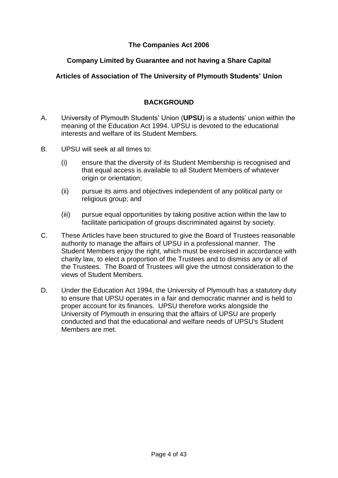# **The Companies Act 2006**

# **Company Limited by Guarantee and not having a Share Capital**

# **Articles of Association of The University of Plymouth Students' Union**

# **BACKGROUND**

- A. University of Plymouth Students' Union (**UPSU**) is a students' union within the meaning of the Education Act 1994. UPSU is devoted to the educational interests and welfare of its Student Members.
- B. UPSU will seek at all times to:
	- (i) ensure that the diversity of its Student Membership is recognised and that equal access is available to all Student Members of whatever origin or orientation;
	- (ii) pursue its aims and objectives independent of any political party or religious group; and
	- (iii) pursue equal opportunities by taking positive action within the law to facilitate participation of groups discriminated against by society.
- C. These Articles have been structured to give the Board of Trustees reasonable authority to manage the affairs of UPSU in a professional manner. The Student Members enjoy the right, which must be exercised in accordance with charity law, to elect a proportion of the Trustees and to dismiss any or all of the Trustees. The Board of Trustees will give the utmost consideration to the views of Student Members.
- D. Under the Education Act 1994, the University of Plymouth has a statutory duty to ensure that UPSU operates in a fair and democratic manner and is held to proper account for its finances. UPSU therefore works alongside the University of Plymouth in ensuring that the affairs of UPSU are properly conducted and that the educational and welfare needs of UPSU's Student Members are met.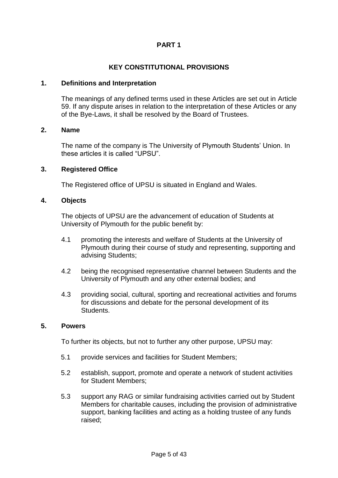# **KEY CONSTITUTIONAL PROVISIONS**

### **1. Definitions and Interpretation**

The meanings of any defined terms used in these Articles are set out in Article 59. If any dispute arises in relation to the interpretation of these Articles or any of the Bye-Laws, it shall be resolved by the Board of Trustees.

#### **2. Name**

The name of the company is The University of Plymouth Students' Union. In these articles it is called "UPSU".

### **3. Registered Office**

The Registered office of UPSU is situated in England and Wales.

#### **4. Objects**

The objects of UPSU are the advancement of education of Students at University of Plymouth for the public benefit by:

- 4.1 promoting the interests and welfare of Students at the University of Plymouth during their course of study and representing, supporting and advising Students;
- 4.2 being the recognised representative channel between Students and the University of Plymouth and any other external bodies; and
- 4.3 providing social, cultural, sporting and recreational activities and forums for discussions and debate for the personal development of its **Students**

#### **5. Powers**

To further its objects, but not to further any other purpose, UPSU may:

- 5.1 provide services and facilities for Student Members;
- 5.2 establish, support, promote and operate a network of student activities for Student Members;
- 5.3 support any RAG or similar fundraising activities carried out by Student Members for charitable causes, including the provision of administrative support, banking facilities and acting as a holding trustee of any funds raised;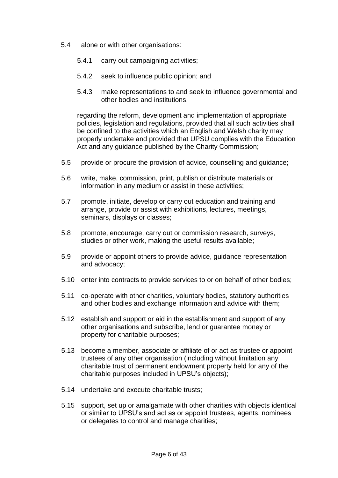- 5.4 alone or with other organisations:
	- 5.4.1 carry out campaigning activities;
	- 5.4.2 seek to influence public opinion; and
	- 5.4.3 make representations to and seek to influence governmental and other bodies and institutions.

regarding the reform, development and implementation of appropriate policies, legislation and regulations, provided that all such activities shall be confined to the activities which an English and Welsh charity may properly undertake and provided that UPSU complies with the Education Act and any guidance published by the Charity Commission;

- 5.5 provide or procure the provision of advice, counselling and guidance;
- 5.6 write, make, commission, print, publish or distribute materials or information in any medium or assist in these activities;
- 5.7 promote, initiate, develop or carry out education and training and arrange, provide or assist with exhibitions, lectures, meetings, seminars, displays or classes;
- 5.8 promote, encourage, carry out or commission research, surveys, studies or other work, making the useful results available;
- 5.9 provide or appoint others to provide advice, guidance representation and advocacy;
- 5.10 enter into contracts to provide services to or on behalf of other bodies;
- 5.11 co-operate with other charities, voluntary bodies, statutory authorities and other bodies and exchange information and advice with them;
- 5.12 establish and support or aid in the establishment and support of any other organisations and subscribe, lend or guarantee money or property for charitable purposes;
- 5.13 become a member, associate or affiliate of or act as trustee or appoint trustees of any other organisation (including without limitation any charitable trust of permanent endowment property held for any of the charitable purposes included in UPSU's objects);
- 5.14 undertake and execute charitable trusts;
- 5.15 support, set up or amalgamate with other charities with objects identical or similar to UPSU's and act as or appoint trustees, agents, nominees or delegates to control and manage charities;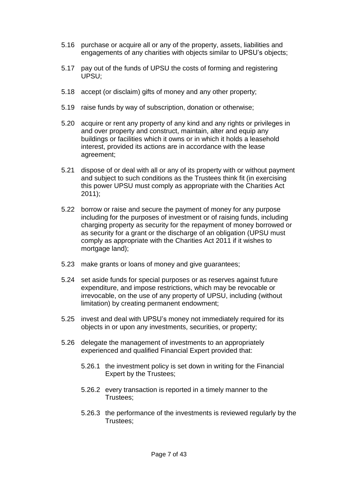- 5.16 purchase or acquire all or any of the property, assets, liabilities and engagements of any charities with objects similar to UPSU's objects;
- 5.17 pay out of the funds of UPSU the costs of forming and registering UPSU;
- 5.18 accept (or disclaim) gifts of money and any other property;
- 5.19 raise funds by way of subscription, donation or otherwise;
- 5.20 acquire or rent any property of any kind and any rights or privileges in and over property and construct, maintain, alter and equip any buildings or facilities which it owns or in which it holds a leasehold interest, provided its actions are in accordance with the lease agreement;
- 5.21 dispose of or deal with all or any of its property with or without payment and subject to such conditions as the Trustees think fit (in exercising this power UPSU must comply as appropriate with the Charities Act 2011);
- 5.22 borrow or raise and secure the payment of money for any purpose including for the purposes of investment or of raising funds, including charging property as security for the repayment of money borrowed or as security for a grant or the discharge of an obligation (UPSU must comply as appropriate with the Charities Act 2011 if it wishes to mortgage land);
- 5.23 make grants or loans of money and give guarantees;
- 5.24 set aside funds for special purposes or as reserves against future expenditure, and impose restrictions, which may be revocable or irrevocable, on the use of any property of UPSU, including (without limitation) by creating permanent endowment;
- 5.25 invest and deal with UPSU's money not immediately required for its objects in or upon any investments, securities, or property;
- 5.26 delegate the management of investments to an appropriately experienced and qualified Financial Expert provided that:
	- 5.26.1 the investment policy is set down in writing for the Financial Expert by the Trustees;
	- 5.26.2 every transaction is reported in a timely manner to the Trustees;
	- 5.26.3 the performance of the investments is reviewed regularly by the Trustees;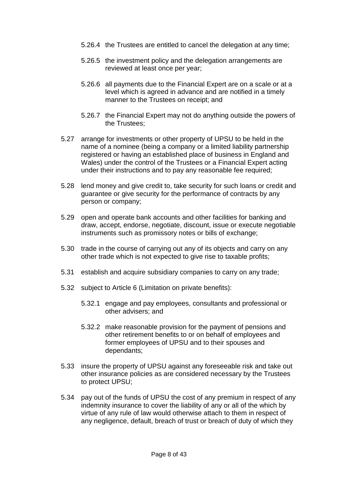- 5.26.4 the Trustees are entitled to cancel the delegation at any time;
- 5.26.5 the investment policy and the delegation arrangements are reviewed at least once per year;
- 5.26.6 all payments due to the Financial Expert are on a scale or at a level which is agreed in advance and are notified in a timely manner to the Trustees on receipt; and
- 5.26.7 the Financial Expert may not do anything outside the powers of the Trustees;
- 5.27 arrange for investments or other property of UPSU to be held in the name of a nominee (being a company or a limited liability partnership registered or having an established place of business in England and Wales) under the control of the Trustees or a Financial Expert acting under their instructions and to pay any reasonable fee required;
- 5.28 lend money and give credit to, take security for such loans or credit and guarantee or give security for the performance of contracts by any person or company;
- 5.29 open and operate bank accounts and other facilities for banking and draw, accept, endorse, negotiate, discount, issue or execute negotiable instruments such as promissory notes or bills of exchange;
- 5.30 trade in the course of carrying out any of its objects and carry on any other trade which is not expected to give rise to taxable profits;
- 5.31 establish and acquire subsidiary companies to carry on any trade;
- 5.32 subject to Article 6 (Limitation on private benefits):
	- 5.32.1 engage and pay employees, consultants and professional or other advisers; and
	- 5.32.2 make reasonable provision for the payment of pensions and other retirement benefits to or on behalf of employees and former employees of UPSU and to their spouses and dependants;
- 5.33 insure the property of UPSU against any foreseeable risk and take out other insurance policies as are considered necessary by the Trustees to protect UPSU;
- 5.34 pay out of the funds of UPSU the cost of any premium in respect of any indemnity insurance to cover the liability of any or all of the which by virtue of any rule of law would otherwise attach to them in respect of any negligence, default, breach of trust or breach of duty of which they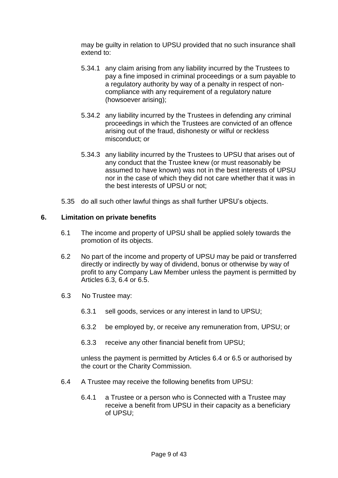may be guilty in relation to UPSU provided that no such insurance shall extend to:

- 5.34.1 any claim arising from any liability incurred by the Trustees to pay a fine imposed in criminal proceedings or a sum payable to a regulatory authority by way of a penalty in respect of noncompliance with any requirement of a regulatory nature (howsoever arising);
- 5.34.2 any liability incurred by the Trustees in defending any criminal proceedings in which the Trustees are convicted of an offence arising out of the fraud, dishonesty or wilful or reckless misconduct; or
- 5.34.3 any liability incurred by the Trustees to UPSU that arises out of any conduct that the Trustee knew (or must reasonably be assumed to have known) was not in the best interests of UPSU nor in the case of which they did not care whether that it was in the best interests of UPSU or not;
- 5.35 do all such other lawful things as shall further UPSU's objects.

## **6. Limitation on private benefits**

- 6.1 The income and property of UPSU shall be applied solely towards the promotion of its objects.
- 6.2 No part of the income and property of UPSU may be paid or transferred directly or indirectly by way of dividend, bonus or otherwise by way of profit to any Company Law Member unless the payment is permitted by Articles 6.3, 6.4 or 6.5.
- 6.3 No Trustee may:
	- 6.3.1 sell goods, services or any interest in land to UPSU;
	- 6.3.2 be employed by, or receive any remuneration from, UPSU; or
	- 6.3.3 receive any other financial benefit from UPSU;

unless the payment is permitted by Articles 6.4 or 6.5 or authorised by the court or the Charity Commission.

- 6.4 A Trustee may receive the following benefits from UPSU:
	- 6.4.1 a Trustee or a person who is Connected with a Trustee may receive a benefit from UPSU in their capacity as a beneficiary of UPSU;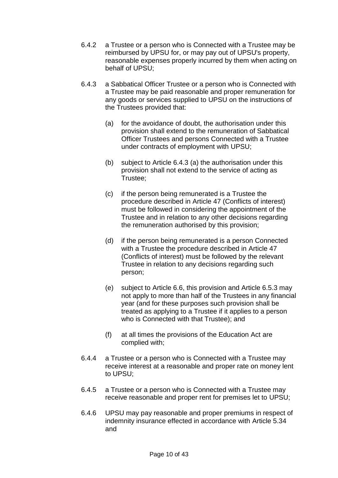- 6.4.2 a Trustee or a person who is Connected with a Trustee may be reimbursed by UPSU for, or may pay out of UPSU's property, reasonable expenses properly incurred by them when acting on behalf of UPSU;
- 6.4.3 a Sabbatical Officer Trustee or a person who is Connected with a Trustee may be paid reasonable and proper remuneration for any goods or services supplied to UPSU on the instructions of the Trustees provided that:
	- (a) for the avoidance of doubt, the authorisation under this provision shall extend to the remuneration of Sabbatical Officer Trustees and persons Connected with a Trustee under contracts of employment with UPSU;
	- (b) subject to Article 6.4.3 (a) the authorisation under this provision shall not extend to the service of acting as Trustee;
	- (c) if the person being remunerated is a Trustee the procedure described in Article 47 (Conflicts of interest) must be followed in considering the appointment of the Trustee and in relation to any other decisions regarding the remuneration authorised by this provision;
	- (d) if the person being remunerated is a person Connected with a Trustee the procedure described in Article 47 (Conflicts of interest) must be followed by the relevant Trustee in relation to any decisions regarding such person;
	- (e) subject to Article 6.6, this provision and Article 6.5.3 may not apply to more than half of the Trustees in any financial year (and for these purposes such provision shall be treated as applying to a Trustee if it applies to a person who is Connected with that Trustee); and
	- (f) at all times the provisions of the Education Act are complied with;
- 6.4.4 a Trustee or a person who is Connected with a Trustee may receive interest at a reasonable and proper rate on money lent to UPSU;
- 6.4.5 a Trustee or a person who is Connected with a Trustee may receive reasonable and proper rent for premises let to UPSU;
- 6.4.6 UPSU may pay reasonable and proper premiums in respect of indemnity insurance effected in accordance with Article 5.34 and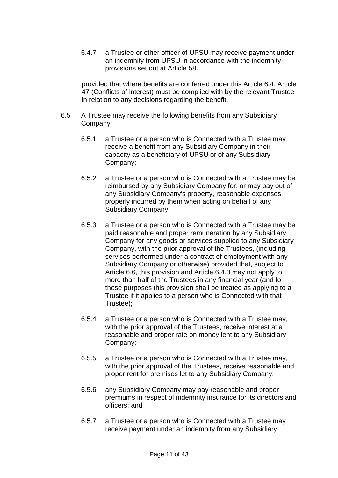6.4.7 a Trustee or other officer of UPSU may receive payment under an indemnity from UPSU in accordance with the indemnity provisions set out at Article 58.

provided that where benefits are conferred under this Article 6.4, Article 47 (Conflicts of interest) must be complied with by the relevant Trustee in relation to any decisions regarding the benefit.

- 6.5 A Trustee may receive the following benefits from any Subsidiary Company:
	- 6.5.1 a Trustee or a person who is Connected with a Trustee may receive a benefit from any Subsidiary Company in their capacity as a beneficiary of UPSU or of any Subsidiary Company;
	- 6.5.2 a Trustee or a person who is Connected with a Trustee may be reimbursed by any Subsidiary Company for, or may pay out of any Subsidiary Company's property, reasonable expenses properly incurred by them when acting on behalf of any Subsidiary Company;
	- 6.5.3 a Trustee or a person who is Connected with a Trustee may be paid reasonable and proper remuneration by any Subsidiary Company for any goods or services supplied to any Subsidiary Company, with the prior approval of the Trustees, (including services performed under a contract of employment with any Subsidiary Company or otherwise) provided that, subject to Article 6.6, this provision and Article 6.4.3 may not apply to more than half of the Trustees in any financial year (and for these purposes this provision shall be treated as applying to a Trustee if it applies to a person who is Connected with that Trustee);
	- 6.5.4 a Trustee or a person who is Connected with a Trustee may, with the prior approval of the Trustees, receive interest at a reasonable and proper rate on money lent to any Subsidiary Company;
	- 6.5.5 a Trustee or a person who is Connected with a Trustee may, with the prior approval of the Trustees, receive reasonable and proper rent for premises let to any Subsidiary Company;
	- 6.5.6 any Subsidiary Company may pay reasonable and proper premiums in respect of indemnity insurance for its directors and officers; and
	- 6.5.7 a Trustee or a person who is Connected with a Trustee may receive payment under an indemnity from any Subsidiary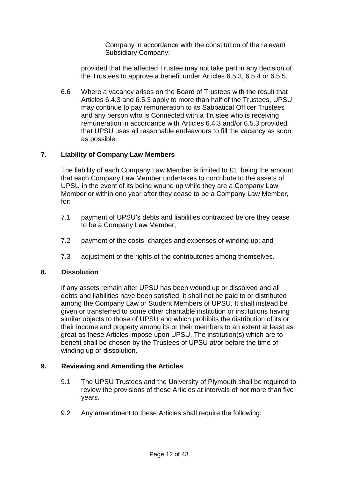Company in accordance with the constitution of the relevant Subsidiary Company;

provided that the affected Trustee may not take part in any decision of the Trustees to approve a benefit under Articles 6.5.3, 6.5.4 or 6.5.5.

6.6 Where a vacancy arises on the Board of Trustees with the result that Articles 6.4.3 and 6.5.3 apply to more than half of the Trustees, UPSU may continue to pay remuneration to its Sabbatical Officer Trustees and any person who is Connected with a Trustee who is receiving remuneration in accordance with Articles 6.4.3 and/or 6.5.3 provided that UPSU uses all reasonable endeavours to fill the vacancy as soon as possible.

## **7. Liability of Company Law Members**

The liability of each Company Law Member is limited to £1, being the amount that each Company Law Member undertakes to contribute to the assets of UPSU in the event of its being wound up while they are a Company Law Member or within one year after they cease to be a Company Law Member, for:

- 7.1 payment of UPSU's debts and liabilities contracted before they cease to be a Company Law Member;
- 7.2 payment of the costs, charges and expenses of winding up; and
- 7.3 adjustment of the rights of the contributories among themselves.

### **8. Dissolution**

If any assets remain after UPSU has been wound up or dissolved and all debts and liabilities have been satisfied, it shall not be paid to or distributed among the Company Law or Student Members of UPSU. It shall instead be given or transferred to some other charitable institution or institutions having similar objects to those of UPSU and which prohibits the distribution of its or their income and property among its or their members to an extent at least as great as these Articles impose upon UPSU. The institution(s) which are to benefit shall be chosen by the Trustees of UPSU at/or before the time of winding up or dissolution.

#### **9. Reviewing and Amending the Articles**

- 9.1 The UPSU Trustees and the University of Plymouth shall be required to review the provisions of these Articles at intervals of not more than five years.
- 9.2 Any amendment to these Articles shall require the following: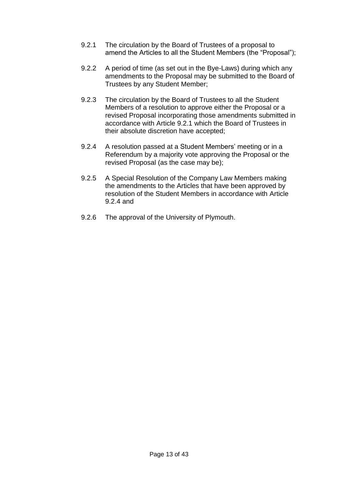- 9.2.1 The circulation by the Board of Trustees of a proposal to amend the Articles to all the Student Members (the "Proposal");
- 9.2.2 A period of time (as set out in the Bye-Laws) during which any amendments to the Proposal may be submitted to the Board of Trustees by any Student Member;
- 9.2.3 The circulation by the Board of Trustees to all the Student Members of a resolution to approve either the Proposal or a revised Proposal incorporating those amendments submitted in accordance with Article 9.2.1 which the Board of Trustees in their absolute discretion have accepted;
- 9.2.4 A resolution passed at a Student Members' meeting or in a Referendum by a majority vote approving the Proposal or the revised Proposal (as the case may be);
- 9.2.5 A Special Resolution of the Company Law Members making the amendments to the Articles that have been approved by resolution of the Student Members in accordance with Article 9.2.4 and
- 9.2.6 The approval of the University of Plymouth.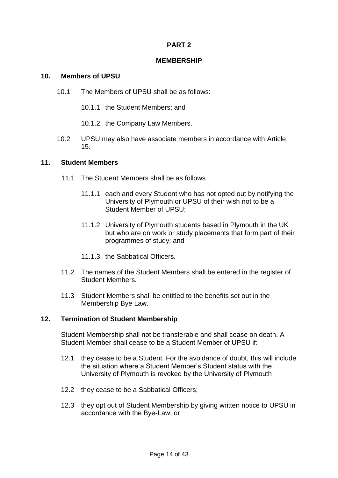### **MEMBERSHIP**

## **10. Members of UPSU**

- 10.1 The Members of UPSU shall be as follows:
	- 10.1.1 the Student Members; and
	- 10.1.2 the Company Law Members.
- 10.2 UPSU may also have associate members in accordance with Article 15.

### **11. Student Members**

- 11.1 The Student Members shall be as follows
	- 11.1.1 each and every Student who has not opted out by notifying the University of Plymouth or UPSU of their wish not to be a Student Member of UPSU;
	- 11.1.2 University of Plymouth students based in Plymouth in the UK but who are on work or study placements that form part of their programmes of study; and
	- 11.1.3 the Sabbatical Officers.
- 11.2 The names of the Student Members shall be entered in the register of Student Members.
- 11.3 Student Members shall be entitled to the benefits set out in the Membership Bye Law.

#### **12. Termination of Student Membership**

Student Membership shall not be transferable and shall cease on death. A Student Member shall cease to be a Student Member of UPSU if:

- 12.1 they cease to be a Student. For the avoidance of doubt, this will include the situation where a Student Member's Student status with the University of Plymouth is revoked by the University of Plymouth;
- 12.2 they cease to be a Sabbatical Officers;
- 12.3 they opt out of Student Membership by giving written notice to UPSU in accordance with the Bye-Law; or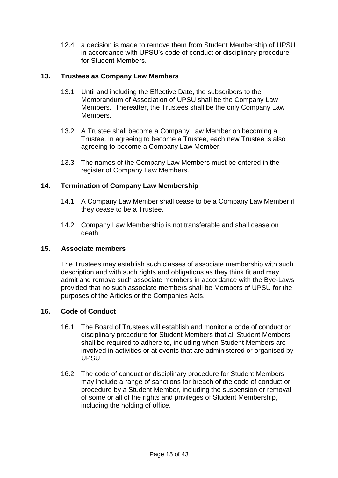12.4 a decision is made to remove them from Student Membership of UPSU in accordance with UPSU's code of conduct or disciplinary procedure for Student Members.

# <span id="page-14-0"></span>**13. Trustees as Company Law Members**

- 13.1 Until and including the Effective Date, the subscribers to the Memorandum of Association of UPSU shall be the Company Law Members. Thereafter, the Trustees shall be the only Company Law Members.
- 13.2 A Trustee shall become a Company Law Member on becoming a Trustee. In agreeing to become a Trustee, each new Trustee is also agreeing to become a Company Law Member.
- 13.3 The names of the Company Law Members must be entered in the register of Company Law Members.

## **14. Termination of Company Law Membership**

- 14.1 A Company Law Member shall cease to be a Company Law Member if they cease to be a Trustee.
- 14.2 Company Law Membership is not transferable and shall cease on death.

## **15. Associate members**

The Trustees may establish such classes of associate membership with such description and with such rights and obligations as they think fit and may admit and remove such associate members in accordance with the Bye-Laws provided that no such associate members shall be Members of UPSU for the purposes of the Articles or the Companies Acts.

## **16. Code of Conduct**

- 16.1 The Board of Trustees will establish and monitor a code of conduct or disciplinary procedure for Student Members that all Student Members shall be required to adhere to, including when Student Members are involved in activities or at events that are administered or organised by UPSU.
- 16.2 The code of conduct or disciplinary procedure for Student Members may include a range of sanctions for breach of the code of conduct or procedure by a Student Member, including the suspension or removal of some or all of the rights and privileges of Student Membership, including the holding of office.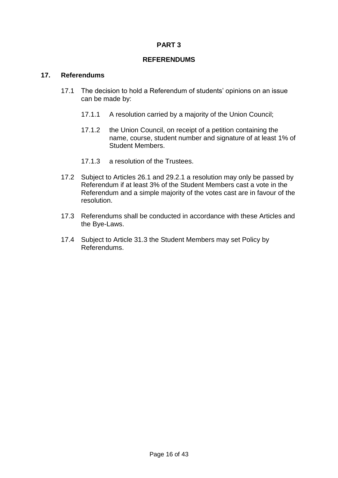## **REFERENDUMS**

### **17. Referendums**

- 17.1 The decision to hold a Referendum of students' opinions on an issue can be made by:
	- 17.1.1 A resolution carried by a majority of the Union Council;
	- 17.1.2 the Union Council, on receipt of a petition containing the name, course, student number and signature of at least 1% of Student Members.
	- 17.1.3 a resolution of the Trustees.
- 17.2 Subject to Articles 26.1 and 29.2.1 a resolution may only be passed by Referendum if at least 3% of the Student Members cast a vote in the Referendum and a simple majority of the votes cast are in favour of the resolution.
- 17.3 Referendums shall be conducted in accordance with these Articles and the Bye-Laws.
- 17.4 Subject to Article 31.3 the Student Members may set Policy by Referendums.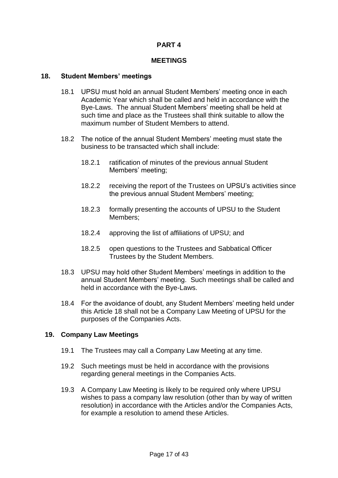### **MEETINGS**

### **18. Student Members' meetings**

- 18.1 UPSU must hold an annual Student Members' meeting once in each Academic Year which shall be called and held in accordance with the Bye-Laws. The annual Student Members' meeting shall be held at such time and place as the Trustees shall think suitable to allow the maximum number of Student Members to attend.
- 18.2 The notice of the annual Student Members' meeting must state the business to be transacted which shall include:
	- 18.2.1 ratification of minutes of the previous annual Student Members' meeting;
	- 18.2.2 receiving the report of the Trustees on UPSU's activities since the previous annual Student Members' meeting;
	- 18.2.3 formally presenting the accounts of UPSU to the Student Members;
	- 18.2.4 approving the list of affiliations of UPSU; and
	- 18.2.5 open questions to the Trustees and Sabbatical Officer Trustees by the Student Members.
- 18.3 UPSU may hold other Student Members' meetings in addition to the annual Student Members' meeting. Such meetings shall be called and held in accordance with the Bye-Laws.
- 18.4 For the avoidance of doubt, any Student Members' meeting held under this Article 18 shall not be a Company Law Meeting of UPSU for the purposes of the Companies Acts.

#### **19. Company Law Meetings**

- 19.1 The Trustees may call a Company Law Meeting at any time.
- 19.2 Such meetings must be held in accordance with the provisions regarding general meetings in the Companies Acts.
- 19.3 A Company Law Meeting is likely to be required only where UPSU wishes to pass a company law resolution (other than by way of written resolution) in accordance with the Articles and/or the Companies Acts, for example a resolution to amend these Articles.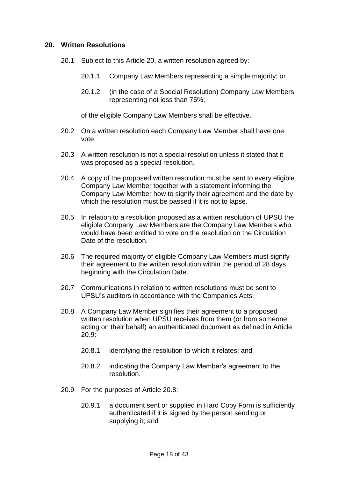### **20. Written Resolutions**

- 20.1 Subject to this Article 20, a written resolution agreed by:
	- 20.1.1 Company Law Members representing a simple majority; or
	- 20.1.2 (in the case of a Special Resolution) Company Law Members representing not less than 75%;

of the eligible Company Law Members shall be effective.

- 20.2 On a written resolution each Company Law Member shall have one vote.
- 20.3 A written resolution is not a special resolution unless it stated that it was proposed as a special resolution.
- 20.4 A copy of the proposed written resolution must be sent to every eligible Company Law Member together with a statement informing the Company Law Member how to signify their agreement and the date by which the resolution must be passed if it is not to lapse.
- 20.5 In relation to a resolution proposed as a written resolution of UPSU the eligible Company Law Members are the Company Law Members who would have been entitled to vote on the resolution on the Circulation Date of the resolution.
- 20.6 The required majority of eligible Company Law Members must signify their agreement to the written resolution within the period of 28 days beginning with the Circulation Date.
- 20.7 Communications in relation to written resolutions must be sent to UPSU's auditors in accordance with the Companies Acts.
- 20.8 A Company Law Member signifies their agreement to a proposed written resolution when UPSU receives from them (or from someone acting on their behalf) an authenticated document as defined in Article 20.9:
	- 20.8.1 identifying the resolution to which it relates; and
	- 20.8.2 indicating the Company Law Member's agreement to the resolution.
- 20.9 For the purposes of Article 20.8:
	- 20.9.1 a document sent or supplied in Hard Copy Form is sufficiently authenticated if it is signed by the person sending or supplying it; and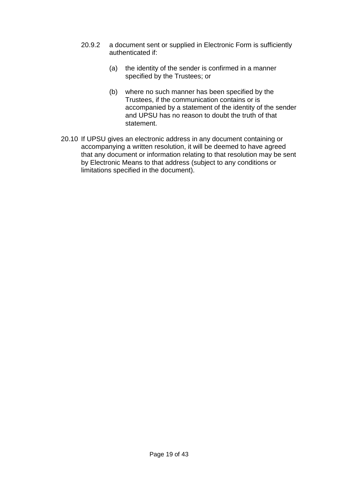- 20.9.2 a document sent or supplied in Electronic Form is sufficiently authenticated if:
	- (a) the identity of the sender is confirmed in a manner specified by the Trustees; or
	- (b) where no such manner has been specified by the Trustees, if the communication contains or is accompanied by a statement of the identity of the sender and UPSU has no reason to doubt the truth of that statement.
- 20.10 If UPSU gives an electronic address in any document containing or accompanying a written resolution, it will be deemed to have agreed that any document or information relating to that resolution may be sent by Electronic Means to that address (subject to any conditions or limitations specified in the document).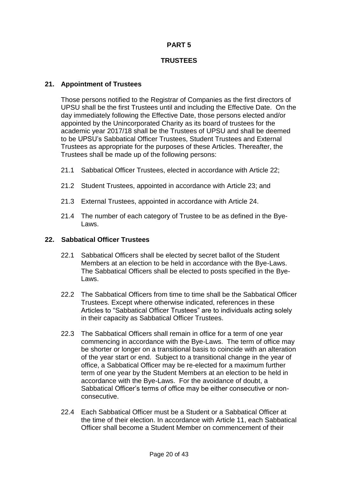## **TRUSTEES**

## **21. Appointment of Trustees**

Those persons notified to the Registrar of Companies as the first directors of UPSU shall be the first Trustees until and including the Effective Date. On the day immediately following the Effective Date, those persons elected and/or appointed by the Unincorporated Charity as its board of trustees for the academic year 2017/18 shall be the Trustees of UPSU and shall be deemed to be UPSU's Sabbatical Officer Trustees, Student Trustees and External Trustees as appropriate for the purposes of these Articles. Thereafter, the Trustees shall be made up of the following persons:

- 21.1 Sabbatical Officer Trustees, elected in accordance with Article 22;
- 21.2 Student Trustees, appointed in accordance with Article 23; and
- 21.3 External Trustees, appointed in accordance with Article 24.
- 21.4 The number of each category of Trustee to be as defined in the Bye-Laws.

## **22. Sabbatical Officer Trustees**

- 22.1 Sabbatical Officers shall be elected by secret ballot of the Student Members at an election to be held in accordance with the Bye-Laws. The Sabbatical Officers shall be elected to posts specified in the Bye-Laws.
- 22.2 The Sabbatical Officers from time to time shall be the Sabbatical Officer Trustees. Except where otherwise indicated, references in these Articles to "Sabbatical Officer Trustees" are to individuals acting solely in their capacity as Sabbatical Officer Trustees.
- 22.3 The Sabbatical Officers shall remain in office for a term of one year commencing in accordance with the Bye-Laws. The term of office may be shorter or longer on a transitional basis to coincide with an alteration of the year start or end. Subject to a transitional change in the year of office, a Sabbatical Officer may be re-elected for a maximum further term of one year by the Student Members at an election to be held in accordance with the Bye-Laws. For the avoidance of doubt, a Sabbatical Officer's terms of office may be either consecutive or nonconsecutive.
- 22.4 Each Sabbatical Officer must be a Student or a Sabbatical Officer at the time of their election. In accordance with Article 11, each Sabbatical Officer shall become a Student Member on commencement of their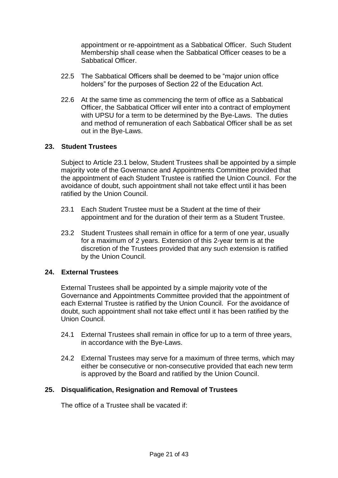appointment or re-appointment as a Sabbatical Officer. Such Student Membership shall cease when the Sabbatical Officer ceases to be a Sabbatical Officer.

- 22.5 The Sabbatical Officers shall be deemed to be "major union office holders" for the purposes of Section 22 of the Education Act.
- 22.6 At the same time as commencing the term of office as a Sabbatical Officer, the Sabbatical Officer will enter into a contract of employment with UPSU for a term to be determined by the Bye-Laws. The duties and method of remuneration of each Sabbatical Officer shall be as set out in the Bye-Laws.

## **23. Student Trustees**

Subject to Article 23.1 below, Student Trustees shall be appointed by a simple majority vote of the Governance and Appointments Committee provided that the appointment of each Student Trustee is ratified the Union Council. For the avoidance of doubt, such appointment shall not take effect until it has been ratified by the Union Council.

- 23.1 Each Student Trustee must be a Student at the time of their appointment and for the duration of their term as a Student Trustee.
- 23.2 Student Trustees shall remain in office for a term of one year, usually for a maximum of 2 years. Extension of this 2-year term is at the discretion of the Trustees provided that any such extension is ratified by the Union Council.

#### **24. External Trustees**

External Trustees shall be appointed by a simple majority vote of the Governance and Appointments Committee provided that the appointment of each External Trustee is ratified by the Union Council. For the avoidance of doubt, such appointment shall not take effect until it has been ratified by the Union Council.

- 24.1 External Trustees shall remain in office for up to a term of three years, in accordance with the Bye-Laws.
- 24.2 External Trustees may serve for a maximum of three terms, which may either be consecutive or non-consecutive provided that each new term is approved by the Board and ratified by the Union Council.

## **25. Disqualification, Resignation and Removal of Trustees**

The office of a Trustee shall be vacated if: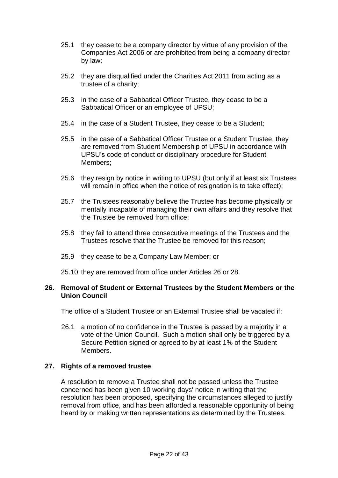- 25.1 they cease to be a company director by virtue of any provision of the Companies Act 2006 or are prohibited from being a company director by law;
- 25.2 they are disqualified under the Charities Act 2011 from acting as a trustee of a charity;
- 25.3 in the case of a Sabbatical Officer Trustee, they cease to be a Sabbatical Officer or an employee of UPSU;
- 25.4 in the case of a Student Trustee, they cease to be a Student;
- 25.5 in the case of a Sabbatical Officer Trustee or a Student Trustee, they are removed from Student Membership of UPSU in accordance with UPSU's code of conduct or disciplinary procedure for Student Members;
- 25.6 they resign by notice in writing to UPSU (but only if at least six Trustees will remain in office when the notice of resignation is to take effect):
- 25.7 the Trustees reasonably believe the Trustee has become physically or mentally incapable of managing their own affairs and they resolve that the Trustee be removed from office;
- 25.8 they fail to attend three consecutive meetings of the Trustees and the Trustees resolve that the Trustee be removed for this reason;
- 25.9 they cease to be a Company Law Member; or
- 25.10 they are removed from office under Articles 26 or 28.

### **26. Removal of Student or External Trustees by the Student Members or the Union Council**

The office of a Student Trustee or an External Trustee shall be vacated if:

26.1 a motion of no confidence in the Trustee is passed by a majority in a vote of the Union Council. Such a motion shall only be triggered by a Secure Petition signed or agreed to by at least 1% of the Student Members.

## **27. Rights of a removed trustee**

A resolution to remove a Trustee shall not be passed unless the Trustee concerned has been given 10 working days' notice in writing that the resolution has been proposed, specifying the circumstances alleged to justify removal from office, and has been afforded a reasonable opportunity of being heard by or making written representations as determined by the Trustees.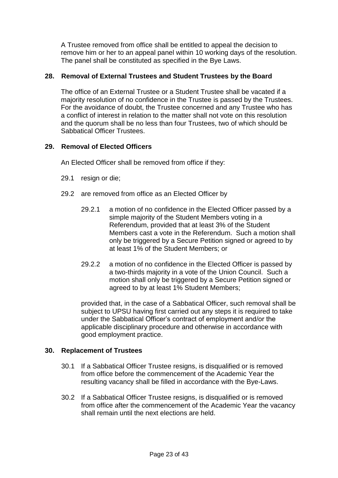A Trustee removed from office shall be entitled to appeal the decision to remove him or her to an appeal panel within 10 working days of the resolution. The panel shall be constituted as specified in the Bye Laws.

## **28. Removal of External Trustees and Student Trustees by the Board**

The office of an External Trustee or a Student Trustee shall be vacated if a majority resolution of no confidence in the Trustee is passed by the Trustees. For the avoidance of doubt, the Trustee concerned and any Trustee who has a conflict of interest in relation to the matter shall not vote on this resolution and the quorum shall be no less than four Trustees, two of which should be Sabbatical Officer Trustees.

## **29. Removal of Elected Officers**

An Elected Officer shall be removed from office if they:

- 29.1 resign or die;
- 29.2 are removed from office as an Elected Officer by
	- 29.2.1 a motion of no confidence in the Elected Officer passed by a simple majority of the Student Members voting in a Referendum, provided that at least 3% of the Student Members cast a vote in the Referendum. Such a motion shall only be triggered by a Secure Petition signed or agreed to by at least 1% of the Student Members; or
	- 29.2.2 a motion of no confidence in the Elected Officer is passed by a two-thirds majority in a vote of the Union Council. Such a motion shall only be triggered by a Secure Petition signed or agreed to by at least 1% Student Members;

provided that, in the case of a Sabbatical Officer, such removal shall be subject to UPSU having first carried out any steps it is required to take under the Sabbatical Officer's contract of employment and/or the applicable disciplinary procedure and otherwise in accordance with good employment practice.

## **30. Replacement of Trustees**

- 30.1 If a Sabbatical Officer Trustee resigns, is disqualified or is removed from office before the commencement of the Academic Year the resulting vacancy shall be filled in accordance with the Bye-Laws.
- 30.2 If a Sabbatical Officer Trustee resigns, is disqualified or is removed from office after the commencement of the Academic Year the vacancy shall remain until the next elections are held.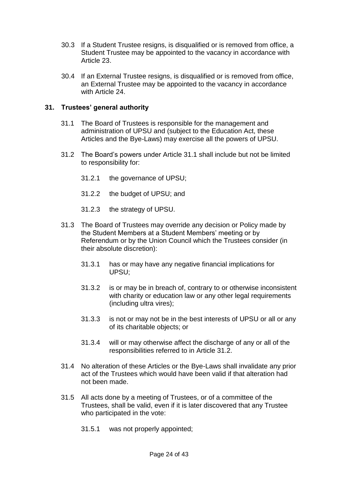- 30.3 If a Student Trustee resigns, is disqualified or is removed from office, a Student Trustee may be appointed to the vacancy in accordance with Article 23.
- 30.4 If an External Trustee resigns, is disqualified or is removed from office, an External Trustee may be appointed to the vacancy in accordance with Article 24.

## **31. Trustees' general authority**

- 31.1 The Board of Trustees is responsible for the management and administration of UPSU and (subject to the Education Act, these Articles and the Bye-Laws) may exercise all the powers of UPSU.
- 31.2 The Board's powers under Article 31.1 shall include but not be limited to responsibility for:
	- 31.2.1 the governance of UPSU;
	- 31.2.2 the budget of UPSU; and
	- 31.2.3 the strategy of UPSU.
- 31.3 The Board of Trustees may override any decision or Policy made by the Student Members at a Student Members' meeting or by Referendum or by the Union Council which the Trustees consider (in their absolute discretion):
	- 31.3.1 has or may have any negative financial implications for UPSU;
	- 31.3.2 is or may be in breach of, contrary to or otherwise inconsistent with charity or education law or any other legal requirements (including ultra vires);
	- 31.3.3 is not or may not be in the best interests of UPSU or all or any of its charitable objects; or
	- 31.3.4 will or may otherwise affect the discharge of any or all of the responsibilities referred to in Article 31.2.
- 31.4 No alteration of these Articles or the Bye-Laws shall invalidate any prior act of the Trustees which would have been valid if that alteration had not been made.
- 31.5 All acts done by a meeting of Trustees, or of a committee of the Trustees, shall be valid, even if it is later discovered that any Trustee who participated in the vote:
	- 31.5.1 was not properly appointed;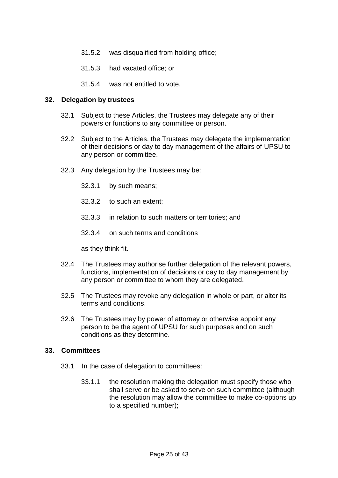- 31.5.2 was disqualified from holding office;
- 31.5.3 had vacated office; or
- 31.5.4 was not entitled to vote.

### **32. Delegation by trustees**

- 32.1 Subject to these Articles, the Trustees may delegate any of their powers or functions to any committee or person.
- 32.2 Subject to the Articles, the Trustees may delegate the implementation of their decisions or day to day management of the affairs of UPSU to any person or committee.
- 32.3 Any delegation by the Trustees may be:
	- 32.3.1 by such means;
	- 32.3.2 to such an extent;
	- 32.3.3 in relation to such matters or territories; and
	- 32.3.4 on such terms and conditions

as they think fit.

- 32.4 The Trustees may authorise further delegation of the relevant powers, functions, implementation of decisions or day to day management by any person or committee to whom they are delegated.
- 32.5 The Trustees may revoke any delegation in whole or part, or alter its terms and conditions.
- 32.6 The Trustees may by power of attorney or otherwise appoint any person to be the agent of UPSU for such purposes and on such conditions as they determine.

#### **33. Committees**

- 33.1 In the case of delegation to committees:
	- 33.1.1 the resolution making the delegation must specify those who shall serve or be asked to serve on such committee (although the resolution may allow the committee to make co-options up to a specified number);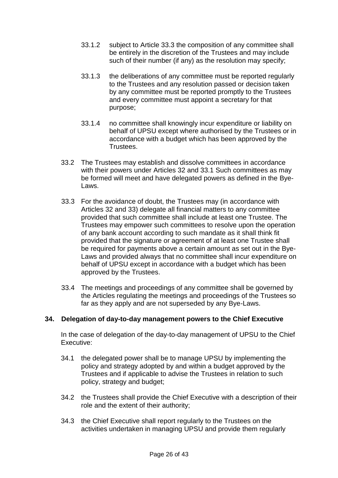- 33.1.2 subject to Article 33.3 the composition of any committee shall be entirely in the discretion of the Trustees and may include such of their number (if any) as the resolution may specify;
- 33.1.3 the deliberations of any committee must be reported regularly to the Trustees and any resolution passed or decision taken by any committee must be reported promptly to the Trustees and every committee must appoint a secretary for that purpose;
- 33.1.4 no committee shall knowingly incur expenditure or liability on behalf of UPSU except where authorised by the Trustees or in accordance with a budget which has been approved by the Trustees.
- 33.2 The Trustees may establish and dissolve committees in accordance with their powers under Articles 32 and 33.1 Such committees as may be formed will meet and have delegated powers as defined in the Bye-Laws.
- 33.3 For the avoidance of doubt, the Trustees may (in accordance with Articles 32 and 33) delegate all financial matters to any committee provided that such committee shall include at least one Trustee. The Trustees may empower such committees to resolve upon the operation of any bank account according to such mandate as it shall think fit provided that the signature or agreement of at least one Trustee shall be required for payments above a certain amount as set out in the Bye-Laws and provided always that no committee shall incur expenditure on behalf of UPSU except in accordance with a budget which has been approved by the Trustees.
- 33.4 The meetings and proceedings of any committee shall be governed by the Articles regulating the meetings and proceedings of the Trustees so far as they apply and are not superseded by any Bye-Laws.

## **34. Delegation of day-to-day management powers to the Chief Executive**

In the case of delegation of the day-to-day management of UPSU to the Chief Executive:

- 34.1 the delegated power shall be to manage UPSU by implementing the policy and strategy adopted by and within a budget approved by the Trustees and if applicable to advise the Trustees in relation to such policy, strategy and budget;
- 34.2 the Trustees shall provide the Chief Executive with a description of their role and the extent of their authority;
- 34.3 the Chief Executive shall report regularly to the Trustees on the activities undertaken in managing UPSU and provide them regularly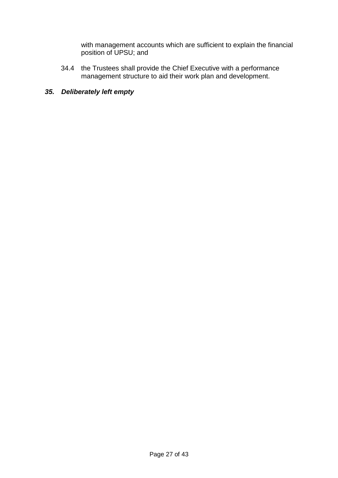with management accounts which are sufficient to explain the financial position of UPSU; and

34.4 the Trustees shall provide the Chief Executive with a performance management structure to aid their work plan and development.

# *35. Deliberately left empty*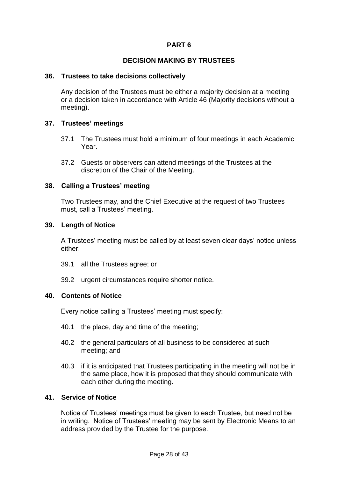## **DECISION MAKING BY TRUSTEES**

## **36. Trustees to take decisions collectively**

Any decision of the Trustees must be either a majority decision at a meeting or a decision taken in accordance with Article 46 (Majority decisions without a meeting).

## **37. Trustees' meetings**

- 37.1 The Trustees must hold a minimum of four meetings in each Academic Year.
- 37.2 Guests or observers can attend meetings of the Trustees at the discretion of the Chair of the Meeting.

## **38. Calling a Trustees' meeting**

Two Trustees may, and the Chief Executive at the request of two Trustees must, call a Trustees' meeting.

### **39. Length of Notice**

A Trustees' meeting must be called by at least seven clear days' notice unless either:

- 39.1 all the Trustees agree; or
- 39.2 urgent circumstances require shorter notice.

### **40. Contents of Notice**

Every notice calling a Trustees' meeting must specify:

- 40.1 the place, day and time of the meeting;
- 40.2 the general particulars of all business to be considered at such meeting; and
- 40.3 if it is anticipated that Trustees participating in the meeting will not be in the same place, how it is proposed that they should communicate with each other during the meeting.

#### **41. Service of Notice**

Notice of Trustees' meetings must be given to each Trustee, but need not be in writing. Notice of Trustees' meeting may be sent by Electronic Means to an address provided by the Trustee for the purpose.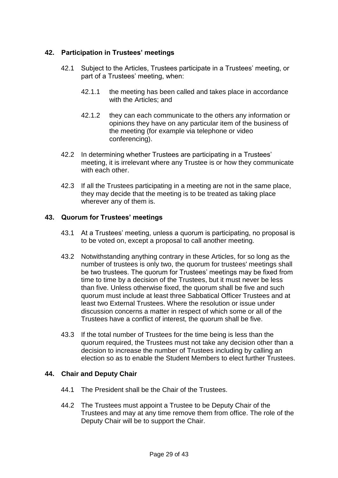# **42. Participation in Trustees' meetings**

- 42.1 Subject to the Articles, Trustees participate in a Trustees' meeting, or part of a Trustees' meeting, when:
	- 42.1.1 the meeting has been called and takes place in accordance with the Articles; and
	- 42.1.2 they can each communicate to the others any information or opinions they have on any particular item of the business of the meeting (for example via telephone or video conferencing).
- 42.2 In determining whether Trustees are participating in a Trustees' meeting, it is irrelevant where any Trustee is or how they communicate with each other.
- 42.3 If all the Trustees participating in a meeting are not in the same place, they may decide that the meeting is to be treated as taking place wherever any of them is.

## **43. Quorum for Trustees' meetings**

- 43.1 At a Trustees' meeting, unless a quorum is participating, no proposal is to be voted on, except a proposal to call another meeting.
- 43.2 Notwithstanding anything contrary in these Articles, for so long as the number of trustees is only two, the quorum for trustees' meetings shall be two trustees. The quorum for Trustees' meetings may be fixed from time to time by a decision of the Trustees, but it must never be less than five. Unless otherwise fixed, the quorum shall be five and such quorum must include at least three Sabbatical Officer Trustees and at least two External Trustees. Where the resolution or issue under discussion concerns a matter in respect of which some or all of the Trustees have a conflict of interest, the quorum shall be five.
- 43.3 If the total number of Trustees for the time being is less than the quorum required, the Trustees must not take any decision other than a decision to increase the number of Trustees including by calling an election so as to enable the Student Members to elect further Trustees.

## **44. Chair and Deputy Chair**

- 44.1 The President shall be the Chair of the Trustees.
- 44.2 The Trustees must appoint a Trustee to be Deputy Chair of the Trustees and may at any time remove them from office. The role of the Deputy Chair will be to support the Chair.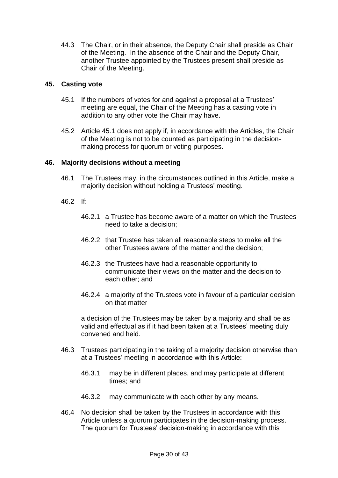44.3 The Chair, or in their absence, the Deputy Chair shall preside as Chair of the Meeting. In the absence of the Chair and the Deputy Chair, another Trustee appointed by the Trustees present shall preside as Chair of the Meeting.

## **45. Casting vote**

- 45.1 If the numbers of votes for and against a proposal at a Trustees' meeting are equal, the Chair of the Meeting has a casting vote in addition to any other vote the Chair may have.
- 45.2 Article 45.1 does not apply if, in accordance with the Articles, the Chair of the Meeting is not to be counted as participating in the decisionmaking process for quorum or voting purposes.

# **46. Majority decisions without a meeting**

- 46.1 The Trustees may, in the circumstances outlined in this Article, make a majority decision without holding a Trustees' meeting.
- 46.2 If:
	- 46.2.1 a Trustee has become aware of a matter on which the Trustees need to take a decision;
	- 46.2.2 that Trustee has taken all reasonable steps to make all the other Trustees aware of the matter and the decision;
	- 46.2.3 the Trustees have had a reasonable opportunity to communicate their views on the matter and the decision to each other; and
	- 46.2.4 a majority of the Trustees vote in favour of a particular decision on that matter

a decision of the Trustees may be taken by a majority and shall be as valid and effectual as if it had been taken at a Trustees' meeting duly convened and held.

- 46.3 Trustees participating in the taking of a majority decision otherwise than at a Trustees' meeting in accordance with this Article:
	- 46.3.1 may be in different places, and may participate at different times; and
	- 46.3.2 may communicate with each other by any means.
- 46.4 No decision shall be taken by the Trustees in accordance with this Article unless a quorum participates in the decision-making process. The quorum for Trustees' decision-making in accordance with this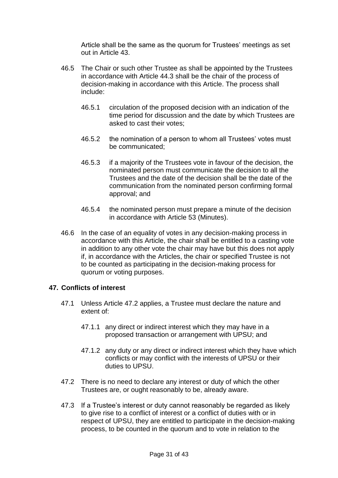Article shall be the same as the quorum for Trustees' meetings as set out in Article 43.

- 46.5 The Chair or such other Trustee as shall be appointed by the Trustees in accordance with Article 44.3 shall be the chair of the process of decision-making in accordance with this Article. The process shall include:
	- 46.5.1 circulation of the proposed decision with an indication of the time period for discussion and the date by which Trustees are asked to cast their votes;
	- 46.5.2 the nomination of a person to whom all Trustees' votes must be communicated;
	- 46.5.3 if a majority of the Trustees vote in favour of the decision, the nominated person must communicate the decision to all the Trustees and the date of the decision shall be the date of the communication from the nominated person confirming formal approval; and
	- 46.5.4 the nominated person must prepare a minute of the decision in accordance with Article 53 (Minutes).
- 46.6 In the case of an equality of votes in any decision-making process in accordance with this Article, the chair shall be entitled to a casting vote in addition to any other vote the chair may have but this does not apply if, in accordance with the Articles, the chair or specified Trustee is not to be counted as participating in the decision-making process for quorum or voting purposes.

## **47. Conflicts of interest**

- 47.1 Unless Article 47.2 applies, a Trustee must declare the nature and extent of:
	- 47.1.1 any direct or indirect interest which they may have in a proposed transaction or arrangement with UPSU; and
	- 47.1.2 any duty or any direct or indirect interest which they have which conflicts or may conflict with the interests of UPSU or their duties to UPSU.
- 47.2 There is no need to declare any interest or duty of which the other Trustees are, or ought reasonably to be, already aware.
- 47.3 If a Trustee's interest or duty cannot reasonably be regarded as likely to give rise to a conflict of interest or a conflict of duties with or in respect of UPSU, they are entitled to participate in the decision-making process, to be counted in the quorum and to vote in relation to the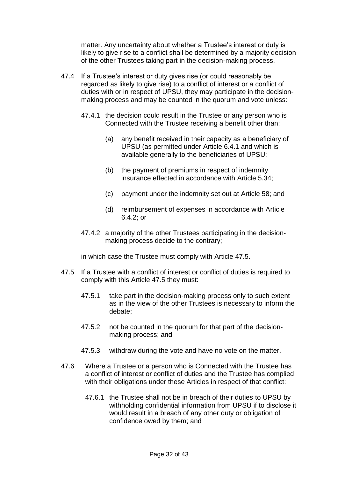matter. Any uncertainty about whether a Trustee's interest or duty is likely to give rise to a conflict shall be determined by a majority decision of the other Trustees taking part in the decision-making process.

- 47.4 If a Trustee's interest or duty gives rise (or could reasonably be regarded as likely to give rise) to a conflict of interest or a conflict of duties with or in respect of UPSU, they may participate in the decisionmaking process and may be counted in the quorum and vote unless:
	- 47.4.1 the decision could result in the Trustee or any person who is Connected with the Trustee receiving a benefit other than:
		- (a) any benefit received in their capacity as a beneficiary of UPSU (as permitted under Article 6.4.1 and which is available generally to the beneficiaries of UPSU;
		- (b) the payment of premiums in respect of indemnity insurance effected in accordance with Article 5.34;
		- (c) payment under the indemnity set out at Article 58; and
		- (d) reimbursement of expenses in accordance with Article 6.4.2; or
	- 47.4.2 a majority of the other Trustees participating in the decisionmaking process decide to the contrary;

in which case the Trustee must comply with Article 47.5.

- 47.5 If a Trustee with a conflict of interest or conflict of duties is required to comply with this Article 47.5 they must:
	- 47.5.1 take part in the decision-making process only to such extent as in the view of the other Trustees is necessary to inform the debate;
	- 47.5.2 not be counted in the quorum for that part of the decisionmaking process; and
	- 47.5.3 withdraw during the vote and have no vote on the matter.
- 47.6 Where a Trustee or a person who is Connected with the Trustee has a conflict of interest or conflict of duties and the Trustee has complied with their obligations under these Articles in respect of that conflict:
	- 47.6.1 the Trustee shall not be in breach of their duties to UPSU by withholding confidential information from UPSU if to disclose it would result in a breach of any other duty or obligation of confidence owed by them; and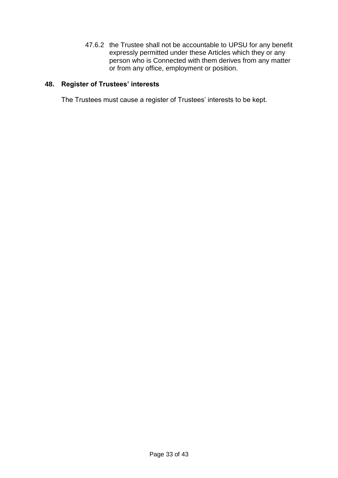47.6.2 the Trustee shall not be accountable to UPSU for any benefit expressly permitted under these Articles which they or any person who is Connected with them derives from any matter or from any office, employment or position.

# **48. Register of Trustees' interests**

The Trustees must cause a register of Trustees' interests to be kept.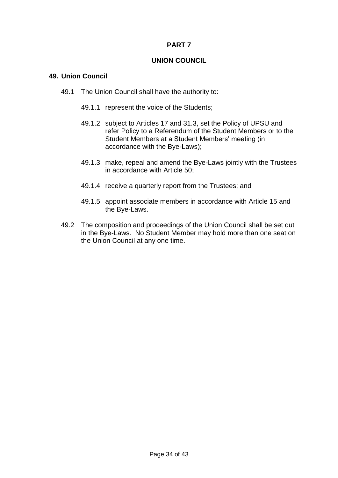## **UNION COUNCIL**

### **49. Union Council**

- 49.1 The Union Council shall have the authority to:
	- 49.1.1 represent the voice of the Students;
	- 49.1.2 subject to Articles 17 and 31.3, set the Policy of UPSU and refer Policy to a Referendum of the Student Members or to the Student Members at a Student Members' meeting (in accordance with the Bye-Laws);
	- 49.1.3 make, repeal and amend the Bye-Laws jointly with the Trustees in accordance with Article 50;
	- 49.1.4 receive a quarterly report from the Trustees; and
	- 49.1.5 appoint associate members in accordance with Article 15 and the Bye-Laws.
- 49.2 The composition and proceedings of the Union Council shall be set out in the Bye-Laws. No Student Member may hold more than one seat on the Union Council at any one time.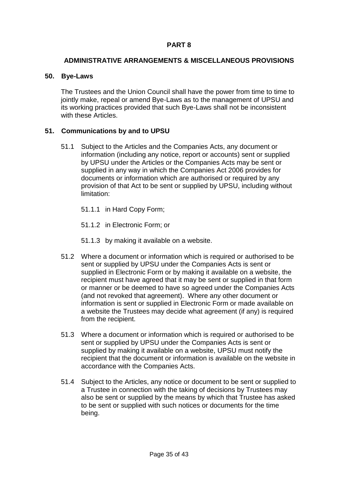### **ADMINISTRATIVE ARRANGEMENTS & MISCELLANEOUS PROVISIONS**

### **50. Bye-Laws**

The Trustees and the Union Council shall have the power from time to time to jointly make, repeal or amend Bye-Laws as to the management of UPSU and its working practices provided that such Bye-Laws shall not be inconsistent with these Articles.

## **51. Communications by and to UPSU**

- 51.1 Subject to the Articles and the Companies Acts, any document or information (including any notice, report or accounts) sent or supplied by UPSU under the Articles or the Companies Acts may be sent or supplied in any way in which the Companies Act 2006 provides for documents or information which are authorised or required by any provision of that Act to be sent or supplied by UPSU, including without limitation:
	- 51.1.1 in Hard Copy Form;
	- 51.1.2 in Electronic Form; or
	- 51.1.3 by making it available on a website.
- 51.2 Where a document or information which is required or authorised to be sent or supplied by UPSU under the Companies Acts is sent or supplied in Electronic Form or by making it available on a website, the recipient must have agreed that it may be sent or supplied in that form or manner or be deemed to have so agreed under the Companies Acts (and not revoked that agreement). Where any other document or information is sent or supplied in Electronic Form or made available on a website the Trustees may decide what agreement (if any) is required from the recipient.
- 51.3 Where a document or information which is required or authorised to be sent or supplied by UPSU under the Companies Acts is sent or supplied by making it available on a website, UPSU must notify the recipient that the document or information is available on the website in accordance with the Companies Acts.
- 51.4 Subject to the Articles, any notice or document to be sent or supplied to a Trustee in connection with the taking of decisions by Trustees may also be sent or supplied by the means by which that Trustee has asked to be sent or supplied with such notices or documents for the time being.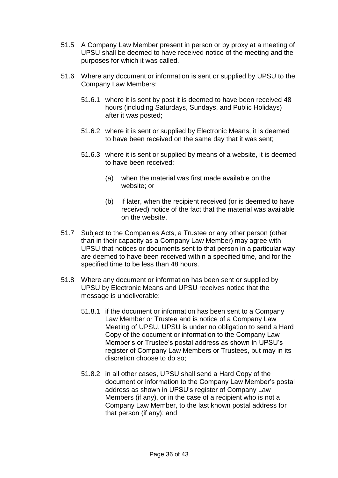- 51.5 A Company Law Member present in person or by proxy at a meeting of UPSU shall be deemed to have received notice of the meeting and the purposes for which it was called.
- 51.6 Where any document or information is sent or supplied by UPSU to the Company Law Members:
	- 51.6.1 where it is sent by post it is deemed to have been received 48 hours (including Saturdays, Sundays, and Public Holidays) after it was posted;
	- 51.6.2 where it is sent or supplied by Electronic Means, it is deemed to have been received on the same day that it was sent;
	- 51.6.3 where it is sent or supplied by means of a website, it is deemed to have been received:
		- (a) when the material was first made available on the website; or
		- (b) if later, when the recipient received (or is deemed to have received) notice of the fact that the material was available on the website.
- 51.7 Subject to the Companies Acts, a Trustee or any other person (other than in their capacity as a Company Law Member) may agree with UPSU that notices or documents sent to that person in a particular way are deemed to have been received within a specified time, and for the specified time to be less than 48 hours.
- 51.8 Where any document or information has been sent or supplied by UPSU by Electronic Means and UPSU receives notice that the message is undeliverable:
	- 51.8.1 if the document or information has been sent to a Company Law Member or Trustee and is notice of a Company Law Meeting of UPSU, UPSU is under no obligation to send a Hard Copy of the document or information to the Company Law Member's or Trustee's postal address as shown in UPSU's register of Company Law Members or Trustees, but may in its discretion choose to do so;
	- 51.8.2 in all other cases, UPSU shall send a Hard Copy of the document or information to the Company Law Member's postal address as shown in UPSU's register of Company Law Members (if any), or in the case of a recipient who is not a Company Law Member, to the last known postal address for that person (if any); and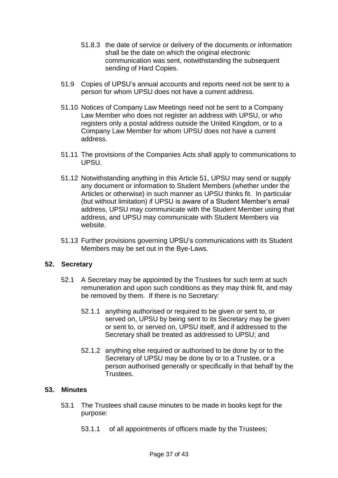- 51.8.3 the date of service or delivery of the documents or information shall be the date on which the original electronic communication was sent, notwithstanding the subsequent sending of Hard Copies.
- 51.9 Copies of UPSU's annual accounts and reports need not be sent to a person for whom UPSU does not have a current address.
- 51.10 Notices of Company Law Meetings need not be sent to a Company Law Member who does not register an address with UPSU, or who registers only a postal address outside the United Kingdom, or to a Company Law Member for whom UPSU does not have a current address.
- 51.11 The provisions of the Companies Acts shall apply to communications to UPSU.
- 51.12 Notwithstanding anything in this Article 51, UPSU may send or supply any document or information to Student Members (whether under the Articles or otherwise) in such manner as UPSU thinks fit. In particular (but without limitation) if UPSU is aware of a Student Member's email address, UPSU may communicate with the Student Member using that address, and UPSU may communicate with Student Members via website.
- 51.13 Further provisions governing UPSU's communications with its Student Members may be set out in the Bye-Laws.

## **52. Secretary**

- 52.1 A Secretary may be appointed by the Trustees for such term at such remuneration and upon such conditions as they may think fit, and may be removed by them. If there is no Secretary:
	- 52.1.1 anything authorised or required to be given or sent to, or served on, UPSU by being sent to its Secretary may be given or sent to, or served on, UPSU itself, and if addressed to the Secretary shall be treated as addressed to UPSU; and
	- 52.1.2 anything else required or authorised to be done by or to the Secretary of UPSU may be done by or to a Trustee, or a person authorised generally or specifically in that behalf by the Trustees.

## **53. Minutes**

- 53.1 The Trustees shall cause minutes to be made in books kept for the purpose:
	- 53.1.1 of all appointments of officers made by the Trustees;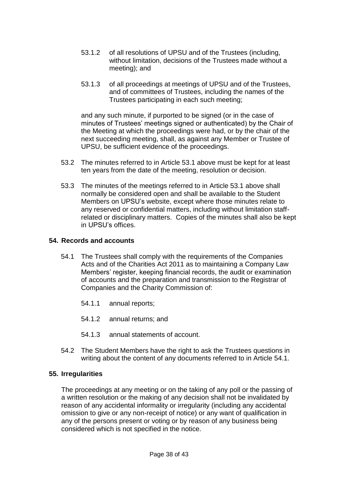- 53.1.2 of all resolutions of UPSU and of the Trustees (including, without limitation, decisions of the Trustees made without a meeting); and
- 53.1.3 of all proceedings at meetings of UPSU and of the Trustees, and of committees of Trustees, including the names of the Trustees participating in each such meeting;

and any such minute, if purported to be signed (or in the case of minutes of Trustees' meetings signed or authenticated) by the Chair of the Meeting at which the proceedings were had, or by the chair of the next succeeding meeting, shall, as against any Member or Trustee of UPSU, be sufficient evidence of the proceedings.

- 53.2 The minutes referred to in Article 53.1 above must be kept for at least ten years from the date of the meeting, resolution or decision.
- 53.3 The minutes of the meetings referred to in Article 53.1 above shall normally be considered open and shall be available to the Student Members on UPSU's website, except where those minutes relate to any reserved or confidential matters, including without limitation staffrelated or disciplinary matters. Copies of the minutes shall also be kept in UPSU's offices.

## <span id="page-37-0"></span>**54. Records and accounts**

- 54.1 The Trustees shall comply with the requirements of the Companies Acts and of the Charities Act 2011 as to maintaining a Company Law Members' register, keeping financial records, the audit or examination of accounts and the preparation and transmission to the Registrar of Companies and the Charity Commission of:
	- 54.1.1 annual reports;
	- 54.1.2 annual returns; and
	- 54.1.3 annual statements of account.
- 54.2 The Student Members have the right to ask the Trustees questions in writing about the content of any documents referred to in Article [54.1.](#page-37-0)

## **55. Irregularities**

The proceedings at any meeting or on the taking of any poll or the passing of a written resolution or the making of any decision shall not be invalidated by reason of any accidental informality or irregularity (including any accidental omission to give or any non-receipt of notice) or any want of qualification in any of the persons present or voting or by reason of any business being considered which is not specified in the notice.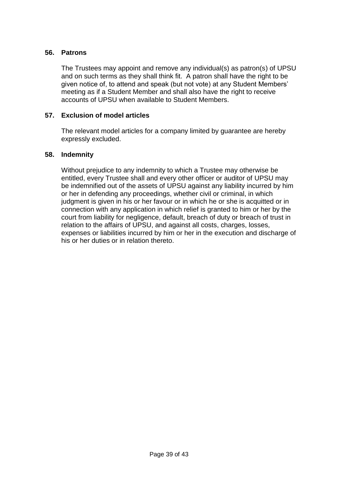## **56. Patrons**

The Trustees may appoint and remove any individual(s) as patron(s) of UPSU and on such terms as they shall think fit. A patron shall have the right to be given notice of, to attend and speak (but not vote) at any Student Members' meeting as if a Student Member and shall also have the right to receive accounts of UPSU when available to Student Members.

## **57. Exclusion of model articles**

The relevant model articles for a company limited by guarantee are hereby expressly excluded.

### **58. Indemnity**

Without prejudice to any indemnity to which a Trustee may otherwise be entitled, every Trustee shall and every other officer or auditor of UPSU may be indemnified out of the assets of UPSU against any liability incurred by him or her in defending any proceedings, whether civil or criminal, in which judgment is given in his or her favour or in which he or she is acquitted or in connection with any application in which relief is granted to him or her by the court from liability for negligence, default, breach of duty or breach of trust in relation to the affairs of UPSU, and against all costs, charges, losses, expenses or liabilities incurred by him or her in the execution and discharge of his or her duties or in relation thereto.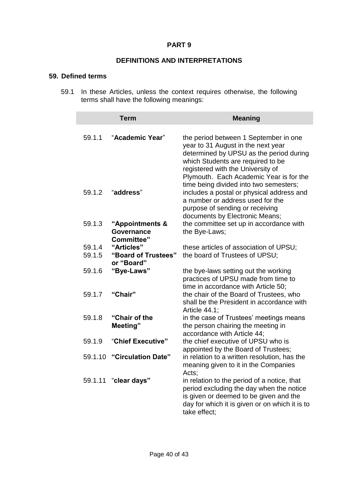# **DEFINITIONS AND INTERPRETATIONS**

#### **59. Defined terms**

l

59.1 In these Articles, unless the context requires otherwise, the following terms shall have the following meanings:

|        | <b>Term</b>                                                | <b>Meaning</b>                                                                                                                                                                                                                              |
|--------|------------------------------------------------------------|---------------------------------------------------------------------------------------------------------------------------------------------------------------------------------------------------------------------------------------------|
| 59.1.1 | "Academic Year"                                            | the period between 1 September in one<br>year to 31 August in the next year<br>determined by UPSU as the period during<br>which Students are required to be<br>registered with the University of<br>Plymouth. Each Academic Year is for the |
| 59.1.2 | "address"                                                  | time being divided into two semesters;<br>includes a postal or physical address and<br>a number or address used for the<br>purpose of sending or receiving<br>documents by Electronic Means;                                                |
| 59.1.3 | "Appointments &<br><b>Governance</b><br><b>Committee</b> " | the committee set up in accordance with<br>the Bye-Laws;                                                                                                                                                                                    |
| 59.1.4 | "Articles"                                                 | these articles of association of UPSU;                                                                                                                                                                                                      |
| 59.1.5 | "Board of Trustees"<br>or "Board"                          | the board of Trustees of UPSU;                                                                                                                                                                                                              |
| 59.1.6 | "Bye-Laws"                                                 | the bye-laws setting out the working<br>practices of UPSU made from time to<br>time in accordance with Article 50;                                                                                                                          |
| 59.1.7 | "Chair"                                                    | the chair of the Board of Trustees, who<br>shall be the President in accordance with<br>Article 44.1;                                                                                                                                       |
| 59.1.8 | "Chair of the<br>Meeting"                                  | in the case of Trustees' meetings means<br>the person chairing the meeting in<br>accordance with Article 44;                                                                                                                                |
| 59.1.9 | "Chief Executive"                                          | the chief executive of UPSU who is<br>appointed by the Board of Trustees;                                                                                                                                                                   |
|        | 59.1.10 "Circulation Date"                                 | in relation to a written resolution, has the<br>meaning given to it in the Companies<br>Acts;                                                                                                                                               |
|        | 59.1.11 "clear days"                                       | in relation to the period of a notice, that<br>period excluding the day when the notice<br>is given or deemed to be given and the<br>day for which it is given or on which it is to<br>take effect;                                         |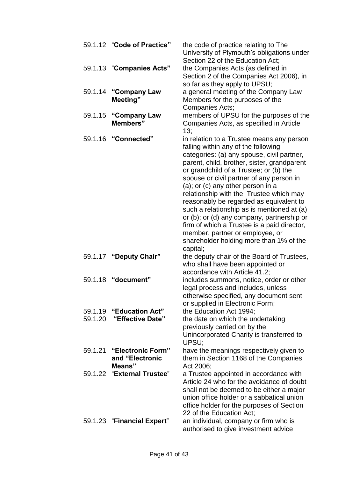|         | 59.1.12 "Code of Practice"                             | the code of practice relating to The<br>University of Plymouth's obligations under<br>Section 22 of the Education Act;                                                                                                                                                                                                                                                                                                                                                                                                                                                                                                  |
|---------|--------------------------------------------------------|-------------------------------------------------------------------------------------------------------------------------------------------------------------------------------------------------------------------------------------------------------------------------------------------------------------------------------------------------------------------------------------------------------------------------------------------------------------------------------------------------------------------------------------------------------------------------------------------------------------------------|
|         | 59.1.13 "Companies Acts"                               | the Companies Acts (as defined in<br>Section 2 of the Companies Act 2006), in<br>so far as they apply to UPSU;                                                                                                                                                                                                                                                                                                                                                                                                                                                                                                          |
|         | 59.1.14 "Company Law<br>Meeting"                       | a general meeting of the Company Law<br>Members for the purposes of the<br>Companies Acts;                                                                                                                                                                                                                                                                                                                                                                                                                                                                                                                              |
| 59.1.15 | "Company Law<br>Members"                               | members of UPSU for the purposes of the<br>Companies Acts, as specified in Article<br>13:                                                                                                                                                                                                                                                                                                                                                                                                                                                                                                                               |
|         | 59.1.16 "Connected"                                    | in relation to a Trustee means any person<br>falling within any of the following<br>categories: (a) any spouse, civil partner,<br>parent, child, brother, sister, grandparent<br>or grandchild of a Trustee; or (b) the<br>spouse or civil partner of any person in<br>(a); or (c) any other person in a<br>relationship with the Trustee which may<br>reasonably be regarded as equivalent to<br>such a relationship as is mentioned at (a)<br>or (b); or (d) any company, partnership or<br>firm of which a Trustee is a paid director,<br>member, partner or employee, or<br>shareholder holding more than 1% of the |
|         | 59.1.17 "Deputy Chair"                                 | capital;<br>the deputy chair of the Board of Trustees,<br>who shall have been appointed or<br>accordance with Article 41.2;                                                                                                                                                                                                                                                                                                                                                                                                                                                                                             |
|         | 59.1.18 "document"                                     | includes summons, notice, order or other<br>legal process and includes, unless<br>otherwise specified, any document sent<br>or supplied in Electronic Form;                                                                                                                                                                                                                                                                                                                                                                                                                                                             |
|         | 59.1.19 "Education Act"                                | the Education Act 1994;                                                                                                                                                                                                                                                                                                                                                                                                                                                                                                                                                                                                 |
| 59.1.20 | "Effective Date"                                       | the date on which the undertaking                                                                                                                                                                                                                                                                                                                                                                                                                                                                                                                                                                                       |
|         |                                                        | previously carried on by the<br>Unincorporated Charity is transferred to<br>UPSU;                                                                                                                                                                                                                                                                                                                                                                                                                                                                                                                                       |
|         | 59.1.21 "Electronic Form"<br>and "Electronic<br>Means" | have the meanings respectively given to<br>them in Section 1168 of the Companies<br>Act 2006:                                                                                                                                                                                                                                                                                                                                                                                                                                                                                                                           |
|         | 59.1.22 "External Trustee"                             | a Trustee appointed in accordance with<br>Article 24 who for the avoidance of doubt<br>shall not be deemed to be either a major<br>union office holder or a sabbatical union<br>office holder for the purposes of Section<br>22 of the Education Act;                                                                                                                                                                                                                                                                                                                                                                   |
|         | 59.1.23 "Financial Expert"                             | an individual, company or firm who is<br>authorised to give investment advice                                                                                                                                                                                                                                                                                                                                                                                                                                                                                                                                           |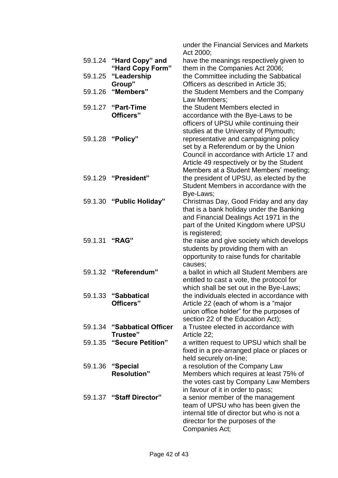|               |                             | under the Financial Services and Markets<br>Act 2000;                              |
|---------------|-----------------------------|------------------------------------------------------------------------------------|
|               | 59.1.24 "Hard Copy" and     | have the meanings respectively given to                                            |
|               | "Hard Copy Form"            | them in the Companies Act 2006;                                                    |
| 59.1.25       | "Leadership                 | the Committee including the Sabbatical                                             |
|               | Group"                      | Officers as described in Article 35;                                               |
|               | 59.1.26 "Members"           | the Student Members and the Company                                                |
|               |                             | Law Members;                                                                       |
|               | 59.1.27 "Part-Time          | the Student Members elected in                                                     |
|               | Officers"                   | accordance with the Bye-Laws to be                                                 |
|               |                             | officers of UPSU while continuing their                                            |
|               |                             | studies at the University of Plymouth;                                             |
|               | 59.1.28 "Policy"            | representative and campaigning policy                                              |
|               |                             | set by a Referendum or by the Union                                                |
|               |                             | Council in accordance with Article 17 and                                          |
|               |                             | Article 49 respectively or by the Student                                          |
|               |                             | Members at a Student Members' meeting;                                             |
|               | 59.1.29 "President"         | the president of UPSU, as elected by the                                           |
|               |                             | Student Members in accordance with the                                             |
|               |                             | Bye-Laws;                                                                          |
|               | 59.1.30 "Public Holiday"    | Christmas Day, Good Friday and any day                                             |
|               |                             | that is a bank holiday under the Banking                                           |
|               |                             | and Financial Dealings Act 1971 in the                                             |
|               |                             | part of the United Kingdom where UPSU                                              |
| 59.1.31 "RAG" |                             | is registered;                                                                     |
|               |                             | the raise and give society which develops<br>students by providing them with an    |
|               |                             | opportunity to raise funds for charitable                                          |
|               |                             | causes;                                                                            |
|               | 59.1.32 "Referendum"        | a ballot in which all Student Members are                                          |
|               |                             | entitled to cast a vote, the protocol for                                          |
|               |                             | which shall be set out in the Bye-Laws;                                            |
|               | 59.1.33 "Sabbatical         | the individuals elected in accordance with                                         |
|               | Officers"                   | Article 22 (each of whom is a "major                                               |
|               |                             | union office holder" for the purposes of                                           |
|               |                             | section 22 of the Education Act);                                                  |
|               | 59.1.34 "Sabbatical Officer | a Trustee elected in accordance with                                               |
|               | Trustee"                    | Article 22;                                                                        |
|               | 59.1.35 "Secure Petition"   | a written request to UPSU which shall be                                           |
|               |                             | fixed in a pre-arranged place or places or                                         |
|               |                             | held securely on-line;                                                             |
|               | 59.1.36 "Special            | a resolution of the Company Law                                                    |
|               | <b>Resolution"</b>          | Members which requires at least 75% of                                             |
|               |                             | the votes cast by Company Law Members                                              |
|               |                             | in favour of it in order to pass;                                                  |
|               | 59.1.37 "Staff Director"    | a senior member of the management                                                  |
|               |                             | team of UPSU who has been given the<br>internal title of director but who is not a |
|               |                             |                                                                                    |
|               |                             | director for the purposes of the                                                   |
|               |                             | Companies Act;                                                                     |